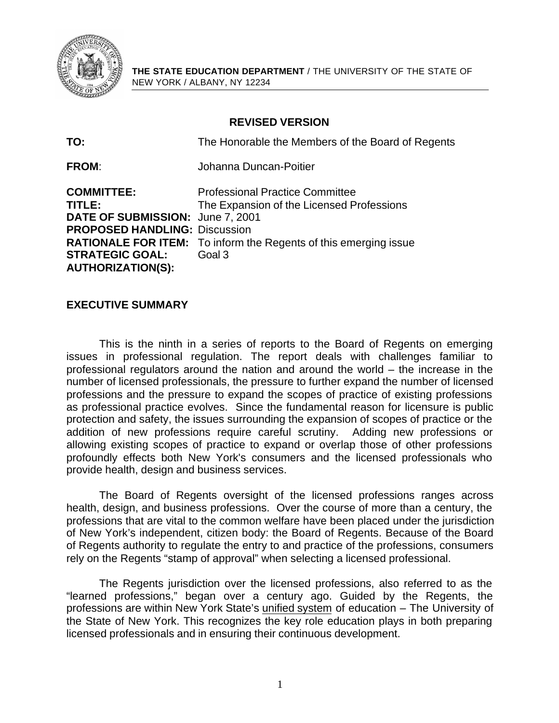

**THE STATE EDUCATION DEPARTMENT** / THE UNIVERSITY OF THE STATE OF NEW YORK / ALBANY, NY 12234

# **REVISED VERSION**

| TO:                                                                                                                                                           | The Honorable the Members of the Board of Regents                                                                                                                        |
|---------------------------------------------------------------------------------------------------------------------------------------------------------------|--------------------------------------------------------------------------------------------------------------------------------------------------------------------------|
| <b>FROM:</b>                                                                                                                                                  | Johanna Duncan-Poitier                                                                                                                                                   |
| <b>COMMITTEE:</b><br>TITLE:<br>DATE OF SUBMISSION: June 7, 2001<br><b>PROPOSED HANDLING: Discussion</b><br><b>STRATEGIC GOAL:</b><br><b>AUTHORIZATION(S):</b> | <b>Professional Practice Committee</b><br>The Expansion of the Licensed Professions<br><b>RATIONALE FOR ITEM:</b> To inform the Regents of this emerging issue<br>Goal 3 |

# **EXECUTIVE SUMMARY**

This is the ninth in a series of reports to the Board of Regents on emerging issues in professional regulation. The report deals with challenges familiar to professional regulators around the nation and around the world – the increase in the number of licensed professionals, the pressure to further expand the number of licensed professions and the pressure to expand the scopes of practice of existing professions as professional practice evolves. Since the fundamental reason for licensure is public protection and safety, the issues surrounding the expansion of scopes of practice or the addition of new professions require careful scrutiny. Adding new professions or allowing existing scopes of practice to expand or overlap those of other professions profoundly effects both New York's consumers and the licensed professionals who provide health, design and business services.

The Board of Regents oversight of the licensed professions ranges across health, design, and business professions. Over the course of more than a century, the professions that are vital to the common welfare have been placed under the jurisdiction of New York's independent, citizen body: the Board of Regents. Because of the Board of Regents authority to regulate the entry to and practice of the professions, consumers rely on the Regents "stamp of approval" when selecting a licensed professional.

The Regents jurisdiction over the licensed professions, also referred to as the "learned professions," began over a century ago. Guided by the Regents, the professions are within New York State's unified system of education – The University of the State of New York. This recognizes the key role education plays in both preparing licensed professionals and in ensuring their continuous development.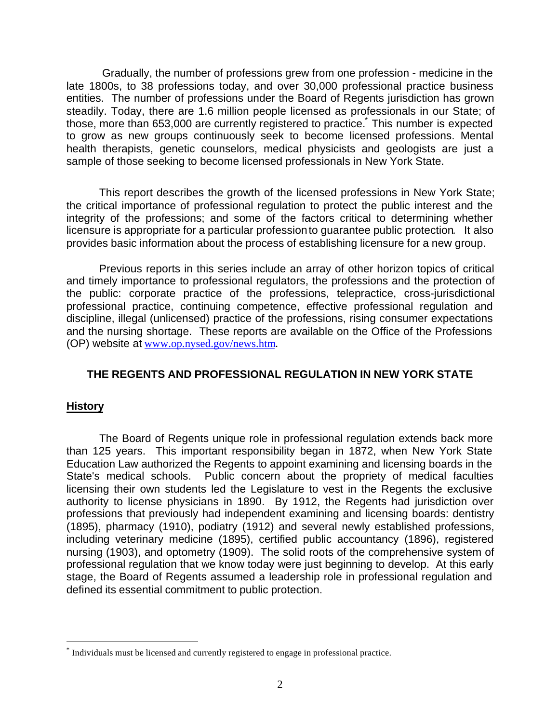Gradually, the number of professions grew from one profession - medicine in the late 1800s, to 38 professions today, and over 30,000 professional practice business entities. The number of professions under the Board of Regents jurisdiction has grown steadily. Today, there are 1.6 million people licensed as professionals in our State; of those, more than 653,000 are currently registered to practice. This number is expected to grow as new groups continuously seek to become licensed professions. Mental health therapists, genetic counselors, medical physicists and geologists are just a sample of those seeking to become licensed professionals in New York State.

This report describes the growth of the licensed professions in New York State; the critical importance of professional regulation to protect the public interest and the integrity of the professions; and some of the factors critical to determining whether licensure is appropriate for a particular profession to guarantee public protection*.* It also provides basic information about the process of establishing licensure for a new group.

Previous reports in this series include an array of other horizon topics of critical and timely importance to professional regulators, the professions and the protection of the public: corporate practice of the professions, telepractice, cross-jurisdictional professional practice, continuing competence, effective professional regulation and discipline, illegal (unlicensed) practice of the professions, rising consumer expectations and the nursing shortage. These reports are available on the Office of the Professions (OP) website at www.op.nysed.gov/news.htm.

# **THE REGENTS AND PROFESSIONAL REGULATION IN NEW YORK STATE**

# **History**

 $\overline{a}$ 

The Board of Regents unique role in professional regulation extends back more than 125 years. This important responsibility began in 1872, when New York State Education Law authorized the Regents to appoint examining and licensing boards in the State's medical schools. Public concern about the propriety of medical faculties licensing their own students led the Legislature to vest in the Regents the exclusive authority to license physicians in 1890. By 1912, the Regents had jurisdiction over professions that previously had independent examining and licensing boards: dentistry (1895), pharmacy (1910), podiatry (1912) and several newly established professions, including veterinary medicine (1895), certified public accountancy (1896), registered nursing (1903), and optometry (1909). The solid roots of the comprehensive system of professional regulation that we know today were just beginning to develop. At this early stage, the Board of Regents assumed a leadership role in professional regulation and defined its essential commitment to public protection.

<sup>\*</sup> Individuals must be licensed and currently registered to engage in professional practice.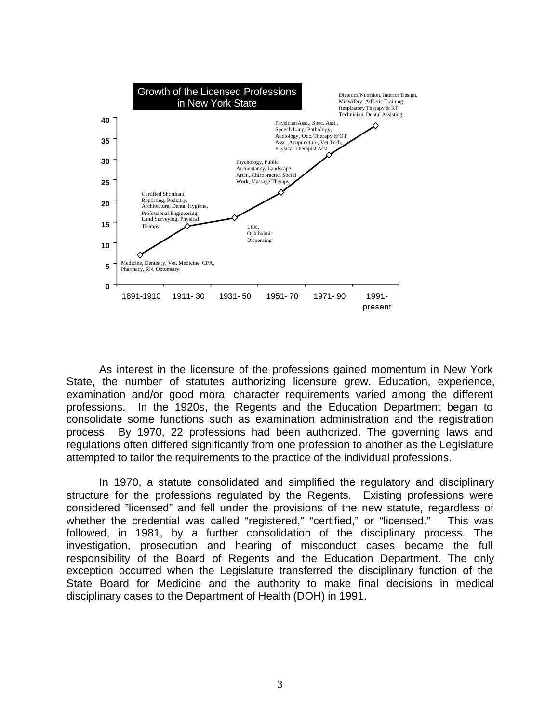

As interest in the licensure of the professions gained momentum in New York State, the number of statutes authorizing licensure grew. Education, experience, examination and/or good moral character requirements varied among the different professions. In the 1920s, the Regents and the Education Department began to consolidate some functions such as examination administration and the registration process. By 1970, 22 professions had been authorized. The governing laws and regulations often differed significantly from one profession to another as the Legislature attempted to tailor the requirements to the practice of the individual professions.

In 1970, a statute consolidated and simplified the regulatory and disciplinary structure for the professions regulated by the Regents. Existing professions were considered "licensed" and fell under the provisions of the new statute, regardless of whether the credential was called "registered," "certified," or "licensed." This was followed, in 1981, by a further consolidation of the disciplinary process. The investigation, prosecution and hearing of misconduct cases became the full responsibility of the Board of Regents and the Education Department. The only exception occurred when the Legislature transferred the disciplinary function of the State Board for Medicine and the authority to make final decisions in medical disciplinary cases to the Department of Health (DOH) in 1991.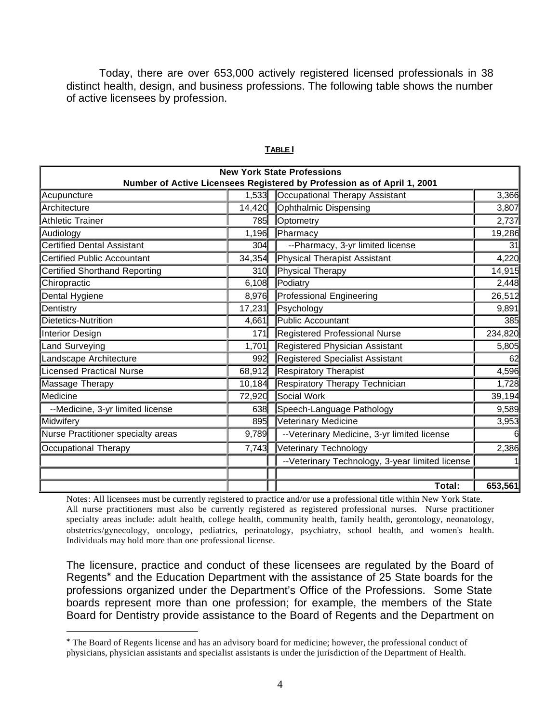Today, there are over 653,000 actively registered licensed professionals in 38 distinct health, design, and business professions. The following table shows the number of active licensees by profession.

| <b>New York State Professions</b><br>Number of Active Licensees Registered by Profession as of April 1, 2001 |        |                                                  |         |  |
|--------------------------------------------------------------------------------------------------------------|--------|--------------------------------------------------|---------|--|
| Acupuncture                                                                                                  | 1,533  | Occupational Therapy Assistant                   | 3,366   |  |
| <b>Architecture</b>                                                                                          | 14,420 | <b>Ophthalmic Dispensing</b>                     | 3,807   |  |
| Athletic Trainer                                                                                             | 785    | Optometry                                        | 2,737   |  |
| Audiology                                                                                                    | 1,196  | Pharmacy                                         | 19,286  |  |
| Certified Dental Assistant                                                                                   | 304    | --Pharmacy, 3-yr limited license                 | 31      |  |
| Certified Public Accountant                                                                                  | 34,354 | Physical Therapist Assistant                     | 4,220   |  |
| Certified Shorthand Reporting                                                                                | 310    | Physical Therapy                                 | 14,915  |  |
| Chiropractic                                                                                                 | 6,108  | Podiatry                                         | 2,448   |  |
| Dental Hygiene                                                                                               | 8,976  | Professional Engineering                         | 26,512  |  |
| Dentistry                                                                                                    | 17,231 | Psychology                                       | 9,891   |  |
| Dietetics-Nutrition                                                                                          | 4,661  | Public Accountant                                | 385     |  |
| Interior Design                                                                                              | 171    | <b>Registered Professional Nurse</b>             | 234,820 |  |
| Land Surveying                                                                                               | 1,701  | Registered Physician Assistant                   | 5,805   |  |
| Landscape Architecture                                                                                       | 992    | <b>Registered Specialist Assistant</b>           | 62      |  |
| <b>Licensed Practical Nurse</b>                                                                              | 68,912 | <b>Respiratory Therapist</b>                     | 4,596   |  |
| Massage Therapy                                                                                              | 10,184 | Respiratory Therapy Technician                   | 1,728   |  |
| <b>I</b> Medicine                                                                                            | 72,920 | Social Work                                      | 39,194  |  |
| --Medicine, 3-yr limited license                                                                             | 638    | Speech-Language Pathology                        | 9,589   |  |
| Midwifery                                                                                                    | 895    | <b>Veterinary Medicine</b>                       | 3,953   |  |
| Nurse Practitioner specialty areas                                                                           | 9,789  | -- Veterinary Medicine, 3-yr limited license     | 6       |  |
| Occupational Therapy                                                                                         | 7,743  | Veterinary Technology                            | 2,386   |  |
|                                                                                                              |        | -- Veterinary Technology, 3-year limited license |         |  |
|                                                                                                              |        | Total:                                           | 653,561 |  |

#### **TABLE I**

Notes: All licensees must be currently registered to practice and/or use a professional title within New York State. All nurse practitioners must also be currently registered as registered professional nurses. Nurse practitioner specialty areas include: adult health, college health, community health, family health, gerontology, neonatology, obstetrics/gynecology, oncology, pediatrics, perinatology, psychiatry, school health, and women's health. Individuals may hold more than one professional license.

The licensure, practice and conduct of these licensees are regulated by the Board of Regents\* and the Education Department with the assistance of 25 State boards for the professions organized under the Department's Office of the Professions. Some State boards represent more than one profession; for example, the members of the State Board for Dentistry provide assistance to the Board of Regents and the Department on

 $\overline{a}$ 

<sup>\*</sup> The Board of Regents license and has an advisory board for medicine; however, the professional conduct of physicians, physician assistants and specialist assistants is under the jurisdiction of the Department of Health.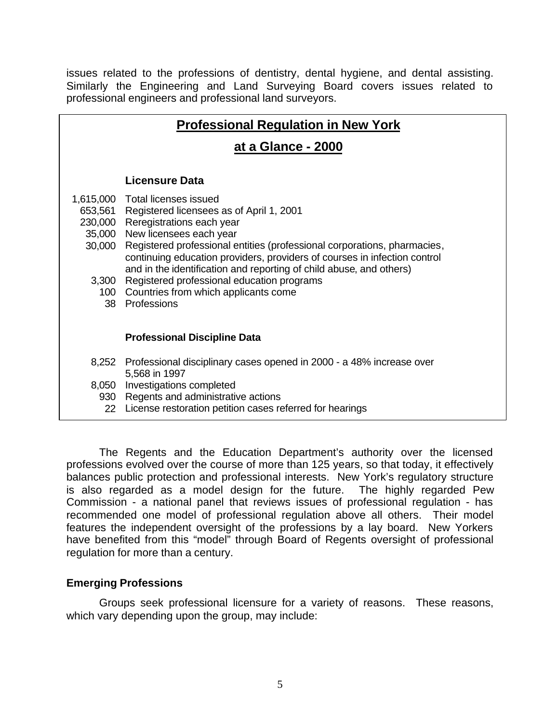issues related to the professions of dentistry, dental hygiene, and dental assisting. Similarly the Engineering and Land Surveying Board covers issues related to professional engineers and professional land surveyors.

# **at a Glance - 2000**

## **Licensure Data**

- 1,615,000 Total licenses issued
	- 653,561 Registered licensees as of April 1, 2001
	- 230,000 Reregistrations each year
	- 35,000 New licensees each year
	- 30,000 Registered professional entities (professional corporations, pharmacies, continuing education providers, providers of courses in infection control and in the identification and reporting of child abuse, and others)
		- 3,300 Registered professional education programs
		- 100 Countries from which applicants come
			- 38 Professions

#### **Professional Discipline Data**

- 8,252 Professional disciplinary cases opened in 2000 a 48% increase over 5,568 in 1997
- 8,050 Investigations completed
- 930 Regents and administrative actions
- 22 License restoration petition cases referred for hearings

The Regents and the Education Department's authority over the licensed professions evolved over the course of more than 125 years, so that today, it effectively balances public protection and professional interests. New York's regulatory structure is also regarded as a model design for the future. The highly regarded Pew Commission - a national panel that reviews issues of professional regulation - has recommended one model of professional regulation above all others. Their model features the independent oversight of the professions by a lay board. New Yorkers have benefited from this "model" through Board of Regents oversight of professional regulation for more than a century.

## **Emerging Professions**

Groups seek professional licensure for a variety of reasons. These reasons, which vary depending upon the group, may include: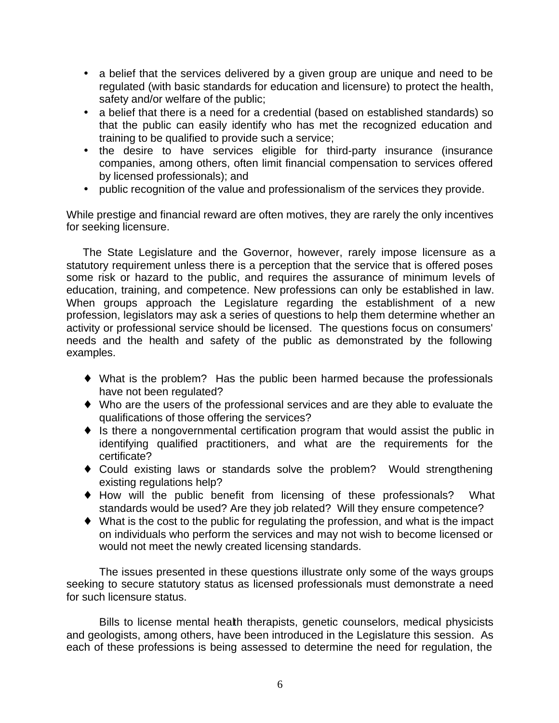- a belief that the services delivered by a given group are unique and need to be regulated (with basic standards for education and licensure) to protect the health, safety and/or welfare of the public;
- a belief that there is a need for a credential (based on established standards) so that the public can easily identify who has met the recognized education and training to be qualified to provide such a service;
- the desire to have services eligible for third-party insurance (insurance companies, among others, often limit financial compensation to services offered by licensed professionals); and
- public recognition of the value and professionalism of the services they provide.

While prestige and financial reward are often motives, they are rarely the only incentives for seeking licensure.

The State Legislature and the Governor, however, rarely impose licensure as a statutory requirement unless there is a perception that the service that is offered poses some risk or hazard to the public, and requires the assurance of minimum levels of education, training, and competence. New professions can only be established in law. When groups approach the Legislature regarding the establishment of a new profession, legislators may ask a series of questions to help them determine whether an activity or professional service should be licensed. The questions focus on consumers' needs and the health and safety of the public as demonstrated by the following examples.

- What is the problem? Has the public been harmed because the professionals have not been regulated?
- ◆ Who are the users of the professional services and are they able to evaluate the qualifications of those offering the services?
- $\bullet$  is there a nongovernmental certification program that would assist the public in identifying qualified practitioners, and what are the requirements for the certificate?
- Could existing laws or standards solve the problem? Would strengthening existing regulations help?
- ◆ How will the public benefit from licensing of these professionals? What standards would be used? Are they job related? Will they ensure competence?
- $\bullet$  What is the cost to the public for regulating the profession, and what is the impact on individuals who perform the services and may not wish to become licensed or would not meet the newly created licensing standards.

The issues presented in these questions illustrate only some of the ways groups seeking to secure statutory status as licensed professionals must demonstrate a need for such licensure status.

Bills to license mental health therapists, genetic counselors, medical physicists and geologists, among others, have been introduced in the Legislature this session. As each of these professions is being assessed to determine the need for regulation, the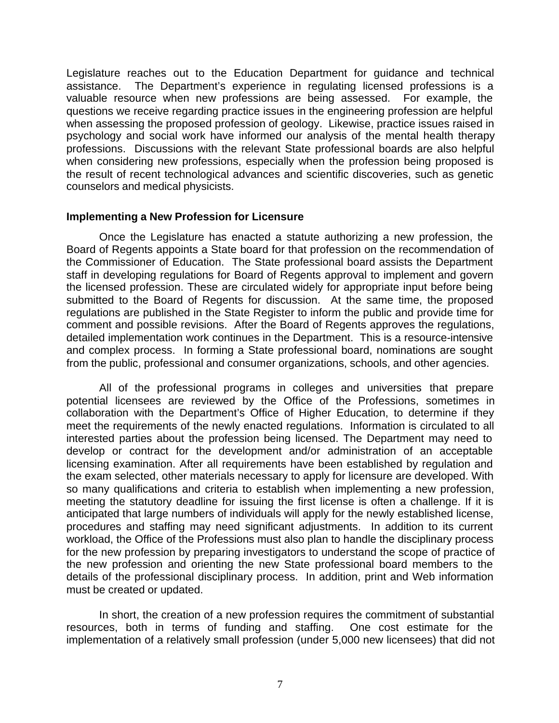Legislature reaches out to the Education Department for guidance and technical assistance. The Department's experience in regulating licensed professions is a valuable resource when new professions are being assessed. For example, the questions we receive regarding practice issues in the engineering profession are helpful when assessing the proposed profession of geology. Likewise, practice issues raised in psychology and social work have informed our analysis of the mental health therapy professions. Discussions with the relevant State professional boards are also helpful when considering new professions, especially when the profession being proposed is the result of recent technological advances and scientific discoveries, such as genetic counselors and medical physicists.

## **Implementing a New Profession for Licensure**

Once the Legislature has enacted a statute authorizing a new profession, the Board of Regents appoints a State board for that profession on the recommendation of the Commissioner of Education. The State professional board assists the Department staff in developing regulations for Board of Regents approval to implement and govern the licensed profession. These are circulated widely for appropriate input before being submitted to the Board of Regents for discussion. At the same time, the proposed regulations are published in the State Register to inform the public and provide time for comment and possible revisions. After the Board of Regents approves the regulations, detailed implementation work continues in the Department. This is a resource-intensive and complex process. In forming a State professional board, nominations are sought from the public, professional and consumer organizations, schools, and other agencies.

All of the professional programs in colleges and universities that prepare potential licensees are reviewed by the Office of the Professions, sometimes in collaboration with the Department's Office of Higher Education, to determine if they meet the requirements of the newly enacted regulations. Information is circulated to all interested parties about the profession being licensed. The Department may need to develop or contract for the development and/or administration of an acceptable licensing examination. After all requirements have been established by regulation and the exam selected, other materials necessary to apply for licensure are developed. With so many qualifications and criteria to establish when implementing a new profession, meeting the statutory deadline for issuing the first license is often a challenge. If it is anticipated that large numbers of individuals will apply for the newly established license, procedures and staffing may need significant adjustments. In addition to its current workload, the Office of the Professions must also plan to handle the disciplinary process for the new profession by preparing investigators to understand the scope of practice of the new profession and orienting the new State professional board members to the details of the professional disciplinary process. In addition, print and Web information must be created or updated.

In short, the creation of a new profession requires the commitment of substantial resources, both in terms of funding and staffing. One cost estimate for the implementation of a relatively small profession (under 5,000 new licensees) that did not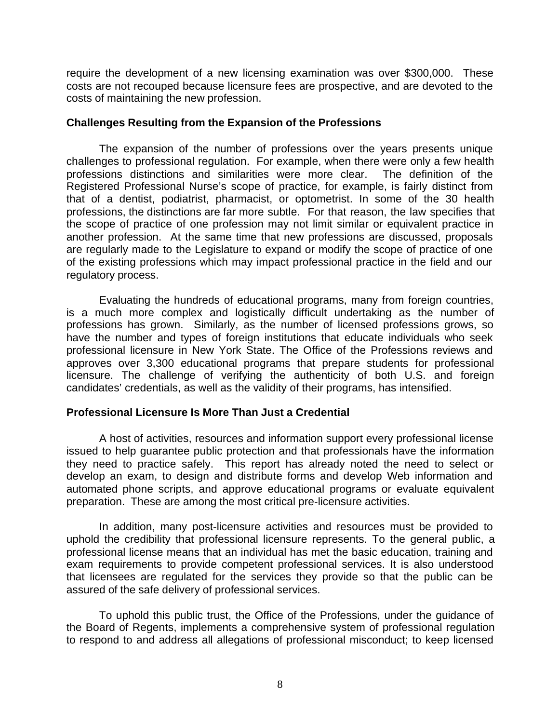require the development of a new licensing examination was over \$300,000. These costs are not recouped because licensure fees are prospective, and are devoted to the costs of maintaining the new profession.

## **Challenges Resulting from the Expansion of the Professions**

The expansion of the number of professions over the years presents unique challenges to professional regulation. For example, when there were only a few health professions distinctions and similarities were more clear. The definition of the Registered Professional Nurse's scope of practice, for example, is fairly distinct from that of a dentist, podiatrist, pharmacist, or optometrist. In some of the 30 health professions, the distinctions are far more subtle. For that reason, the law specifies that the scope of practice of one profession may not limit similar or equivalent practice in another profession. At the same time that new professions are discussed, proposals are regularly made to the Legislature to expand or modify the scope of practice of one of the existing professions which may impact professional practice in the field and our regulatory process.

Evaluating the hundreds of educational programs, many from foreign countries, is a much more complex and logistically difficult undertaking as the number of professions has grown. Similarly, as the number of licensed professions grows, so have the number and types of foreign institutions that educate individuals who seek professional licensure in New York State. The Office of the Professions reviews and approves over 3,300 educational programs that prepare students for professional licensure. The challenge of verifying the authenticity of both U.S. and foreign candidates' credentials, as well as the validity of their programs, has intensified.

# **Professional Licensure Is More Than Just a Credential**

A host of activities, resources and information support every professional license issued to help guarantee public protection and that professionals have the information they need to practice safely. This report has already noted the need to select or develop an exam, to design and distribute forms and develop Web information and automated phone scripts, and approve educational programs or evaluate equivalent preparation. These are among the most critical pre-licensure activities.

In addition, many post-licensure activities and resources must be provided to uphold the credibility that professional licensure represents. To the general public, a professional license means that an individual has met the basic education, training and exam requirements to provide competent professional services. It is also understood that licensees are regulated for the services they provide so that the public can be assured of the safe delivery of professional services.

To uphold this public trust, the Office of the Professions, under the guidance of the Board of Regents, implements a comprehensive system of professional regulation to respond to and address all allegations of professional misconduct; to keep licensed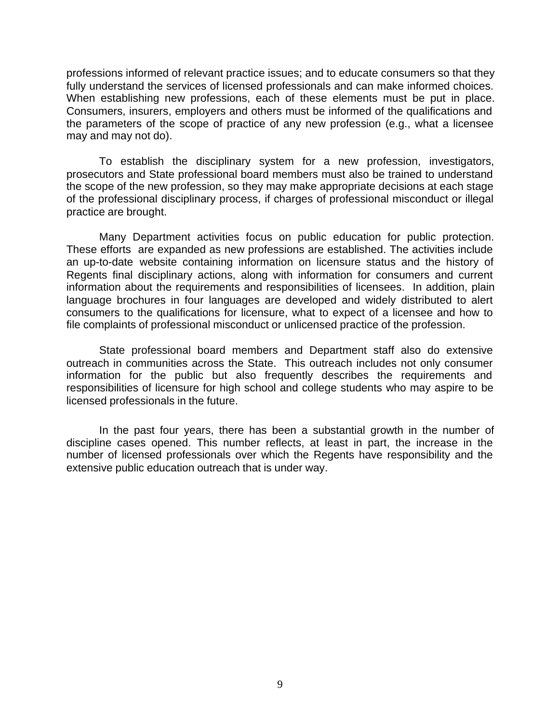professions informed of relevant practice issues; and to educate consumers so that they fully understand the services of licensed professionals and can make informed choices. When establishing new professions, each of these elements must be put in place. Consumers, insurers, employers and others must be informed of the qualifications and the parameters of the scope of practice of any new profession (e.g., what a licensee may and may not do).

To establish the disciplinary system for a new profession, investigators, prosecutors and State professional board members must also be trained to understand the scope of the new profession, so they may make appropriate decisions at each stage of the professional disciplinary process, if charges of professional misconduct or illegal practice are brought.

Many Department activities focus on public education for public protection. These efforts are expanded as new professions are established. The activities include an up-to-date website containing information on licensure status and the history of Regents final disciplinary actions, along with information for consumers and current information about the requirements and responsibilities of licensees. In addition, plain language brochures in four languages are developed and widely distributed to alert consumers to the qualifications for licensure, what to expect of a licensee and how to file complaints of professional misconduct or unlicensed practice of the profession.

State professional board members and Department staff also do extensive outreach in communities across the State. This outreach includes not only consumer information for the public but also frequently describes the requirements and responsibilities of licensure for high school and college students who may aspire to be licensed professionals in the future.

In the past four years, there has been a substantial growth in the number of discipline cases opened. This number reflects, at least in part, the increase in the number of licensed professionals over which the Regents have responsibility and the extensive public education outreach that is under way.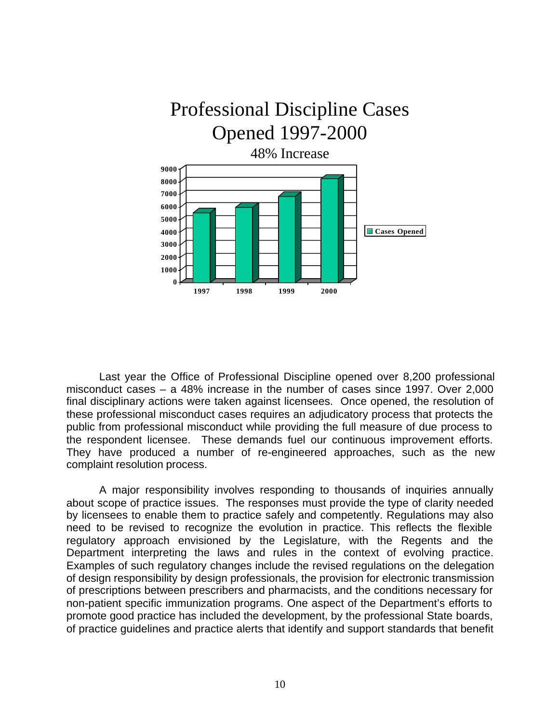

Last year the Office of Professional Discipline opened over 8,200 professional misconduct cases – a 48% increase in the number of cases since 1997. Over 2,000 final disciplinary actions were taken against licensees. Once opened, the resolution of these professional misconduct cases requires an adjudicatory process that protects the public from professional misconduct while providing the full measure of due process to the respondent licensee. These demands fuel our continuous improvement efforts. They have produced a number of re-engineered approaches, such as the new complaint resolution process.

A major responsibility involves responding to thousands of inquiries annually about scope of practice issues. The responses must provide the type of clarity needed by licensees to enable them to practice safely and competently. Regulations may also need to be revised to recognize the evolution in practice. This reflects the flexible regulatory approach envisioned by the Legislature, with the Regents and the Department interpreting the laws and rules in the context of evolving practice. Examples of such regulatory changes include the revised regulations on the delegation of design responsibility by design professionals, the provision for electronic transmission of prescriptions between prescribers and pharmacists, and the conditions necessary for non-patient specific immunization programs. One aspect of the Department's efforts to promote good practice has included the development, by the professional State boards, of practice guidelines and practice alerts that identify and support standards that benefit